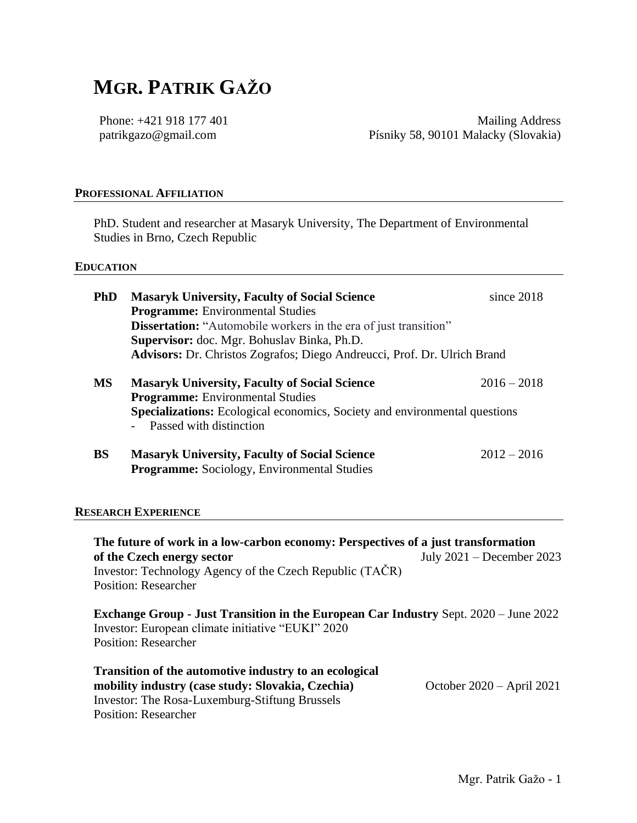# **MGR. PATRIK GAŽO**

Phone: +421 918 177 401 patrikgazo@gmail.com

Mailing Address Písniky 58, 90101 Malacky (Slovakia)

#### **PROFESSIONAL AFFILIATION**

PhD. Student and researcher at Masaryk University, The Department of Environmental Studies in Brno, Czech Republic

#### **EDUCATION**

| <b>Programme:</b> Environmental Studies<br><b>Dissertation:</b> "Automobile workers in the era of just transition"<br>Supervisor: doc. Mgr. Bohuslav Binka, Ph.D. |                                                                                                                                                       |
|-------------------------------------------------------------------------------------------------------------------------------------------------------------------|-------------------------------------------------------------------------------------------------------------------------------------------------------|
|                                                                                                                                                                   |                                                                                                                                                       |
|                                                                                                                                                                   |                                                                                                                                                       |
|                                                                                                                                                                   |                                                                                                                                                       |
| <b>Advisors:</b> Dr. Christos Zografos; Diego Andreucci, Prof. Dr. Ulrich Brand                                                                                   |                                                                                                                                                       |
| <b>Masaryk University, Faculty of Social Science</b>                                                                                                              | $2016 - 2018$                                                                                                                                         |
|                                                                                                                                                                   |                                                                                                                                                       |
| Specializations: Ecological economics, Society and environmental questions<br>- Passed with distinction                                                           |                                                                                                                                                       |
|                                                                                                                                                                   | $2012 - 2016$                                                                                                                                         |
|                                                                                                                                                                   | <b>Programme:</b> Environmental Studies<br><b>Masaryk University, Faculty of Social Science</b><br><b>Programme:</b> Sociology, Environmental Studies |

#### **RESEARCH EXPERIENCE**

**The future of work in a low-carbon economy: Perspectives of a just transformation of the Czech energy sector** July 2021 – December 2023 Investor: Technology Agency of the Czech Republic (TAČR) Position: Researcher

**Exchange Group - Just Transition in the European Car Industry** Sept. 2020 – June 2022 Investor: European climate initiative "EUKI" 2020 Position: Researcher

| <b>Transition of the automotive industry to an ecological</b> |                             |
|---------------------------------------------------------------|-----------------------------|
| mobility industry (case study: Slovakia, Czechia)             | October $2020 - April 2021$ |
| Investor: The Rosa-Luxemburg-Stiftung Brussels                |                             |
| Position: Researcher                                          |                             |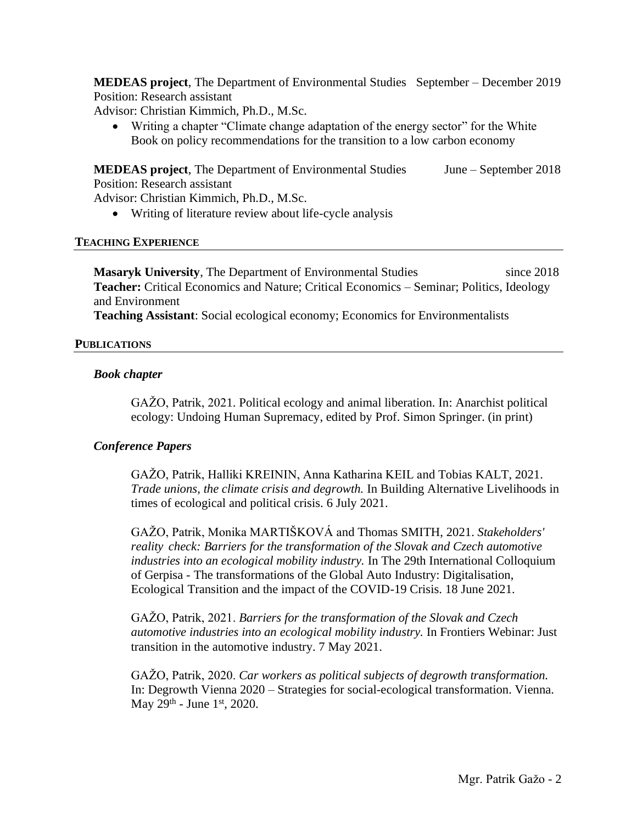**MEDEAS project**, The Department of Environmental Studies September – December 2019 Position: Research assistant

Advisor: Christian Kimmich, Ph.D., M.Sc.

• Writing a chapter "Climate change adaptation of the energy sector" for the White Book on policy recommendations for the transition to a low carbon economy

**MEDEAS project**, The Department of Environmental Studies June – September 2018 Position: Research assistant

Advisor: Christian Kimmich, Ph.D., M.Sc.

• Writing of literature review about life-cycle analysis

#### **TEACHING EXPERIENCE**

**Masaryk University**, The Department of Environmental Studies since 2018 **Teacher:** Critical Economics and Nature; Critical Economics – Seminar; Politics, Ideology and Environment

**Teaching Assistant**: Social ecological economy; Economics for Environmentalists

# **PUBLICATIONS**

# *Book chapter*

GAŽO, Patrik, 2021. Political ecology and animal liberation. In: Anarchist political ecology: Undoing Human Supremacy, edited by Prof. Simon Springer. (in print)

# *Conference Papers*

GAŽO, Patrik, Halliki KREININ, Anna Katharina KEIL and Tobias KALT, 2021. *Trade unions, the climate crisis and degrowth.* In Building Alternative Livelihoods in times of ecological and political crisis. 6 July 2021.

GAŽO, Patrik, Monika MARTIŠKOVÁ and Thomas SMITH, 2021. *Stakeholders' reality check: Barriers for the transformation of the Slovak and Czech automotive industries into an ecological mobility industry.* In The 29th International Colloquium of Gerpisa - The transformations of the Global Auto Industry: Digitalisation, Ecological Transition and the impact of the COVID-19 Crisis. 18 June 2021.

GAŽO, Patrik, 2021. *Barriers for the transformation of the Slovak and Czech automotive industries into an ecological mobility industry.* In Frontiers Webinar: Just transition in the automotive industry. 7 May 2021.

GAŽO, Patrik, 2020. *Car workers as political subjects of degrowth transformation.* In: Degrowth Vienna 2020 – Strategies for social-ecological transformation. Vienna. May  $29^{th}$  - June  $1^{st}$ , 2020.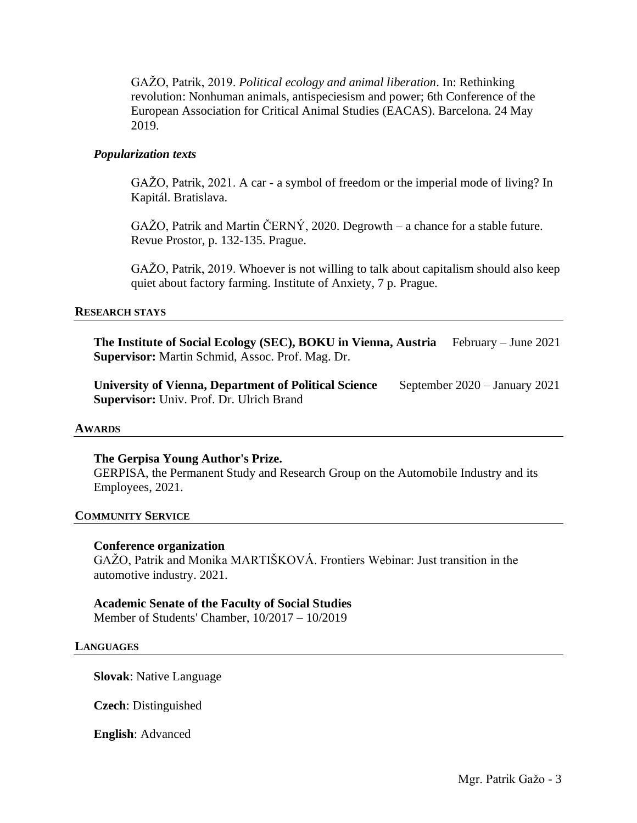GAŽO, Patrik, 2019. *Political ecology and animal liberation*. In: Rethinking revolution: Nonhuman animals, antispeciesism and power; 6th Conference of the European Association for Critical Animal Studies (EACAS). Barcelona. 24 May 2019.

# *Popularization texts*

GAŽO, Patrik, 2021. A car - a symbol of freedom or the imperial mode of living? In Kapitál. Bratislava.

GAŽO, Patrik and Martin ČERNÝ, 2020. Degrowth – a chance for a stable future. Revue Prostor, p. 132-135. Prague.

GAŽO, Patrik, 2019. Whoever is not willing to talk about capitalism should also keep quiet about factory farming. Institute of Anxiety, 7 p. Prague.

#### **RESEARCH STAYS**

**The Institute of Social Ecology (SEC), BOKU in Vienna, Austria** February – June 2021 **Supervisor:** Martin Schmid, Assoc. Prof. Mag. Dr.

**University of Vienna, Department of Political Science** September 2020 – January 2021 **Supervisor:** Univ. Prof. Dr. Ulrich Brand

#### **AWARDS**

#### **The Gerpisa Young Author's Prize.**

GERPISA, the Permanent Study and Research Group on the Automobile Industry and its Employees, 2021.

#### **COMMUNITY SERVICE**

#### **Conference organization**

GAŽO, Patrik and Monika MARTIŠKOVÁ. Frontiers Webinar: Just transition in the automotive industry. 2021.

# **Academic Senate of the Faculty of Social Studies**

Member of Students' Chamber, 10/2017 – 10/2019

#### **LANGUAGES**

**Slovak**: Native Language

**Czech**: Distinguished

**English**: Advanced